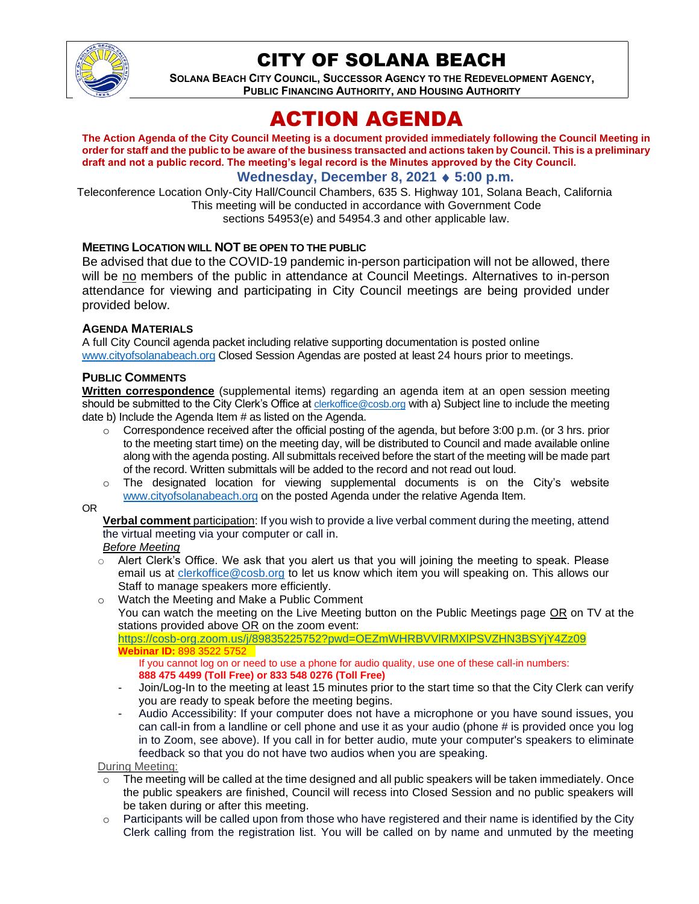

# CITY OF SOLANA BEACH

**SOLANA BEACH CITY COUNCIL, SUCCESSOR AGENCY TO THE REDEVELOPMENT AGENCY, PUBLIC FINANCING AUTHORITY, AND HOUSING AUTHORITY** 

# ACTION AGENDA

**The Action Agenda of the City Council Meeting is a document provided immediately following the Council Meeting in order for staff and the public to be aware of the business transacted and actions taken by Council. This is a preliminary draft and not a public record. The meeting's legal record is the Minutes approved by the City Council.**

### **Wednesday, December 8, 2021 5:00 p.m.**

Teleconference Location Only-City Hall/Council Chambers, 635 S. Highway 101, Solana Beach, California This meeting will be conducted in accordance with Government Code sections 54953(e) and 54954.3 and other applicable law.

#### **MEETING LOCATION WILL NOT BE OPEN TO THE PUBLIC**

Be advised that due to the COVID-19 pandemic in-person participation will not be allowed, there will be no members of the public in attendance at Council Meetings. Alternatives to in-person attendance for viewing and participating in City Council meetings are being provided under provided below.

#### **AGENDA MATERIALS**

A full City Council agenda packet including relative supporting documentation is posted online [www.cityofsolanabeach.org](https://urldefense.proofpoint.com/v2/url?u=http-3A__www.cityofsolanabeach.org&d=DwQFAg&c=euGZstcaTDllvimEN8b7jXrwqOf-v5A_CdpgnVfiiMM&r=1XAsCUuqwK_tji2t0s1uIQ&m=wny2RVfZJ2tN24LkqZmkUWNpwL_peNtTZUBlTBZiMM4&s=6ATguqxJUOD7VVtloplAbyuyNaVcEh6Fl4q1iw55lCY&e=) Closed Session Agendas are posted at least 24 hours prior to meetings.

#### **PUBLIC COMMENTS**

**Written correspondence** (supplemental items) regarding an agenda item at an open session meeting should be submitted to the City Clerk's Office at [clerkoffice@cosb.org](mailto:clerkoffice@cosb.org) with a) Subject line to include the meeting date b) Include the Agenda Item # as listed on the Agenda.

- $\circ$  Correspondence received after the official posting of the agenda, but before 3:00 p.m. (or 3 hrs. prior to the meeting start time) on the meeting day, will be distributed to Council and made available online along with the agenda posting. All submittals received before the start of the meeting will be made part of the record. Written submittals will be added to the record and not read out loud.
- $\circ$  The designated location for viewing supplemental documents is on the City's website [www.cityofsolanabeach.org](http://www.cityofsolanabeach.org/) on the posted Agenda under the relative Agenda Item.
- OR

**Verbal comment** participation: If you wish to provide a live verbal comment during the meeting, attend the virtual meeting via your computer or call in.

- *Before Meeting*
- $\circ$  Alert Clerk's Office. We ask that you alert us that you will joining the meeting to speak. Please email us at [clerkoffice@cosb.org](mailto:clerkoffice@cosb.org) to let us know which item you will speaking on. This allows our Staff to manage speakers more efficiently.
- o Watch the Meeting and Make a Public Comment
	- You can watch the meeting on the Live Meeting button on the Public Meetings page OR on TV at the stations provided above OR on the zoom event:

<https://cosb-org.zoom.us/j/89835225752?pwd=OEZmWHRBVVlRMXlPSVZHN3BSYjY4Zz09> **Webinar ID:** 898 3522 5752

If you cannot log on or need to use a phone for audio quality, use one of these call-in numbers: **888 475 4499 (Toll Free) or 833 548 0276 (Toll Free)**

- Join/Log-In to the meeting at least 15 minutes prior to the start time so that the City Clerk can verify you are ready to speak before the meeting begins.
- Audio Accessibility: If your computer does not have a microphone or you have sound issues, you can call-in from a landline or cell phone and use it as your audio (phone # is provided once you log in to Zoom, see above). If you call in for better audio, mute your computer's speakers to eliminate feedback so that you do not have two audios when you are speaking.

During Meeting:

- The meeting will be called at the time designed and all public speakers will be taken immediately. Once the public speakers are finished, Council will recess into Closed Session and no public speakers will be taken during or after this meeting.
- Participants will be called upon from those who have registered and their name is identified by the City Clerk calling from the registration list. You will be called on by name and unmuted by the meeting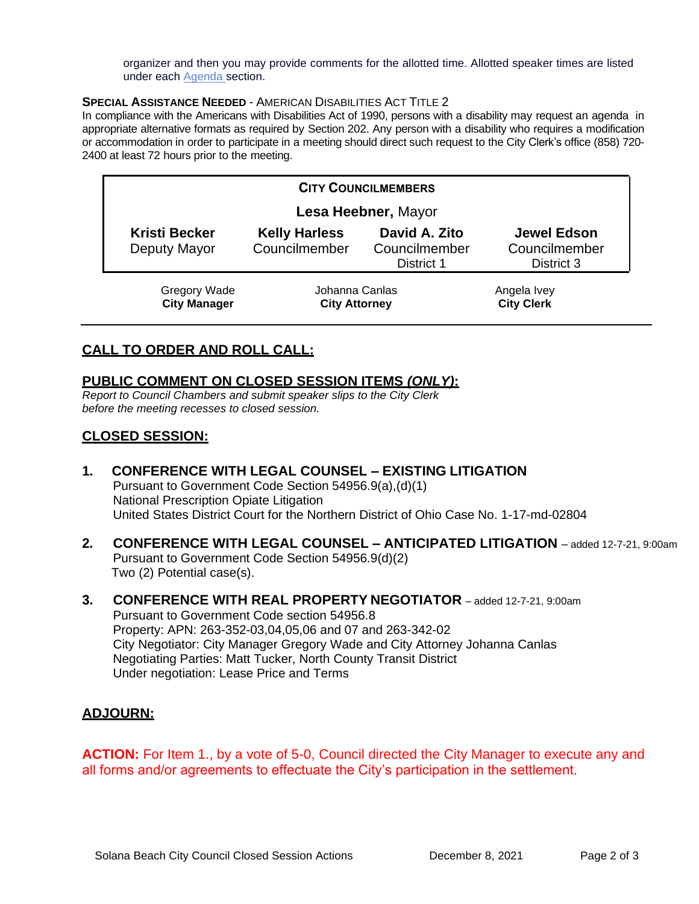organizer and then you may provide comments for the allotted time. Allotted speaker times are listed under each [Agenda s](https://urldefense.proofpoint.com/v2/url?u=https-3A__www.ci.solana-2Dbeach.ca.us_index.asp-3FSEC-3DF0F1200D-2D21C6-2D4A88-2D8AE1-2D0BC07C1A81A7-26Type-3DB-5FBASIC&d=DwMFaQ&c=euGZstcaTDllvimEN8b7jXrwqOf-v5A_CdpgnVfiiMM&r=1XAsCUuqwK_tji2t0s1uIQ&m=C7WzXfOw2_nkEFMJClT55zZsF4tmIf_7KTn0o1WpYqI&s=3DcsWExM2_nx_xpvFtXslUjphiXd0MDCCF18y_Qy5yU&e=)ection.

#### **SPECIAL ASSISTANCE NEEDED** - AMERICAN DISABILITIES ACT TITLE 2

In compliance with the Americans with Disabilities Act of 1990, persons with a disability may request an agenda in appropriate alternative formats as required by Section 202. Any person with a disability who requires a modification or accommodation in order to participate in a meeting should direct such request to the City Clerk's office (858) 720- 2400 at least 72 hours prior to the meeting.

| <b>CITY COUNCILMEMBERS</b> |                                            |                                        |                                                     |                                                   |  |
|----------------------------|--------------------------------------------|----------------------------------------|-----------------------------------------------------|---------------------------------------------------|--|
|                            |                                            | Lesa Heebner, Mayor                    |                                                     |                                                   |  |
|                            | <b>Kristi Becker</b><br>Deputy Mayor       | <b>Kelly Harless</b><br>Councilmember  | David A. Zito<br>Councilmember<br><b>District 1</b> | <b>Jewel Edson</b><br>Councilmember<br>District 3 |  |
|                            | <b>Gregory Wade</b><br><b>City Manager</b> | Johanna Canlas<br><b>City Attorney</b> |                                                     | Angela Ivey<br><b>City Clerk</b>                  |  |

## **CALL TO ORDER AND ROLL CALL:**

## **PUBLIC COMMENT ON CLOSED SESSION ITEMS** *(ONLY)***:**

*Report to Council Chambers and submit speaker slips to the City Clerk before the meeting recesses to closed session.*

## **CLOSED SESSION:**

- **1. CONFERENCE WITH LEGAL COUNSEL – EXISTING LITIGATION** Pursuant to Government Code Section 54956.9(a),(d)(1) National Prescription Opiate Litigation United States District Court for the Northern District of Ohio Case No. 1-17-md-02804
- **2. CONFERENCE WITH LEGAL COUNSEL – ANTICIPATED LITIGATION** added 12-7-21, 9:00am Pursuant to Government Code Section 54956.9(d)(2) Two (2) Potential case(s).
- **3. CONFERENCE WITH REAL PROPERTY NEGOTIATOR**  added 12-7-21, 9:00am Pursuant to Government Code section 54956.8 Property: APN: 263-352-03,04,05,06 and 07 and 263-342-02 City Negotiator: City Manager Gregory Wade and City Attorney Johanna Canlas Negotiating Parties: Matt Tucker, North County Transit District Under negotiation: Lease Price and Terms

### **ADJOURN:**

**ACTION:** For Item 1., by a vote of 5-0, Council directed the City Manager to execute any and all forms and/or agreements to effectuate the City's participation in the settlement.